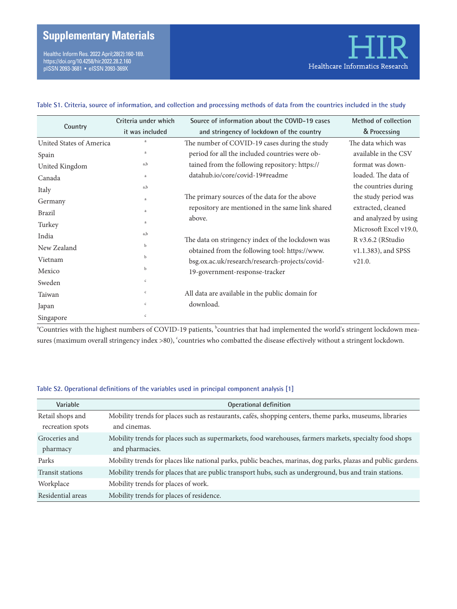# **Supplementary Materials**

Healthc Inform Res. 2022 April;28(2):160-169. https://doi.org/10.4258/hir.2022.28.2.160 pISSN 2093-3681 • eISSN 2093-369X

### **Table S1. Criteria, source of information, and collection and processing methods of data from the countries included in the study**

| Country                  | Criteria under which | Source of information about the COVID-19 cases                                   | <b>Method of collection</b> |
|--------------------------|----------------------|----------------------------------------------------------------------------------|-----------------------------|
|                          | it was included      | and stringency of lockdown of the country                                        | & Processing                |
| United States of America | a                    | The number of COVID-19 cases during the study                                    | The data which was          |
| Spain                    | a                    | period for all the included countries were ob-                                   | available in the CSV        |
| United Kingdom           | a,b                  | tained from the following repository: https://                                   | format was down-            |
| Canada                   | a                    | datahub.io/core/covid-19#readme                                                  | loaded. The data of         |
| Italy                    | a,b                  |                                                                                  | the countries during        |
| Germany                  | a                    | The primary sources of the data for the above                                    | the study period was        |
| <b>Brazil</b>            | a                    | repository are mentioned in the same link shared                                 | extracted, cleaned          |
| Turkey                   | a                    | above.                                                                           | and analyzed by using       |
| India                    | a,b                  |                                                                                  | Microsoft Excel v19.0,      |
| New Zealand              | $\mathbf b$          | The data on stringency index of the lockdown was                                 | R v3.6.2 (RStudio           |
| Vietnam                  | b                    | obtained from the following tool: https://www.                                   | v1.1.383), and SPSS         |
| Mexico                   | b                    | bsg.ox.ac.uk/research/research-projects/covid-<br>19-government-response-tracker | v21.0.                      |
| Sweden                   | $\mathsf{C}$         |                                                                                  |                             |
| Taiwan                   | $\mathsf{C}$         | All data are available in the public domain for                                  |                             |
| Japan                    | $\mathbf c$          | download.                                                                        |                             |
| Singapore                | $\mathsf{C}$         |                                                                                  |                             |

 $\rm{^a}$ Countries with the highest numbers of COVID-19 patients,  $\rm{^b}$ countries that had implemented the world's stringent lockdown measures (maximum overall stringency index >80),  $\dot{\ }$ countries who combatted the disease effectively without a stringent lockdown.

#### **Table S2. Operational definitions of the variables used in principal component analysis [1]**

| Variable                | Operational definition                                                                                         |
|-------------------------|----------------------------------------------------------------------------------------------------------------|
| Retail shops and        | Mobility trends for places such as restaurants, cafés, shopping centers, theme parks, museums, libraries       |
| recreation spots        | and cinemas.                                                                                                   |
| Groceries and           | Mobility trends for places such as supermarkets, food warehouses, farmers markets, specialty food shops        |
| pharmacy                | and pharmacies.                                                                                                |
| Parks                   | Mobility trends for places like national parks, public beaches, marinas, dog parks, plazas and public gardens. |
| <b>Transit stations</b> | Mobility trends for places that are public transport hubs, such as underground, bus and train stations.        |
| Workplace               | Mobility trends for places of work.                                                                            |
| Residential areas       | Mobility trends for places of residence.                                                                       |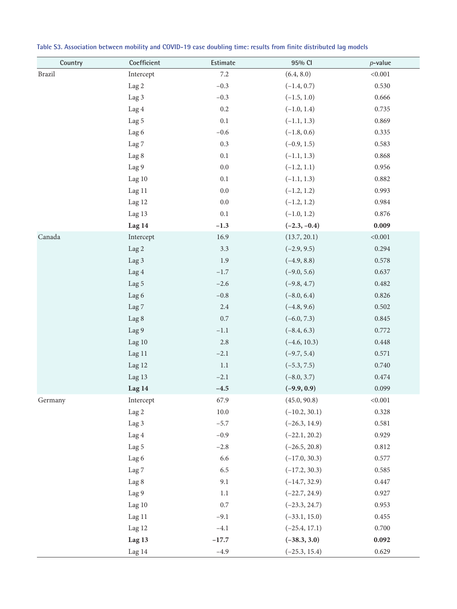| Country | Coefficient      | Estimate | 95% CI          | $p$ -value |
|---------|------------------|----------|-----------------|------------|
| Brazil  | Intercept        | $7.2\,$  | (6.4, 8.0)      | < 0.001    |
|         | Lag 2            | $-0.3$   | $(-1.4, 0.7)$   | 0.530      |
|         | Lag 3            | $-0.3$   | $(-1.5, 1.0)$   | 0.666      |
|         | Lag 4            | 0.2      | $(-1.0, 1.4)$   | 0.735      |
|         | Lag 5            | $0.1\,$  | $(-1.1, 1.3)$   | 0.869      |
|         | Lag 6            | $-0.6$   | $(-1.8, 0.6)$   | 0.335      |
|         | Lag <sub>7</sub> | 0.3      | $(-0.9, 1.5)$   | 0.583      |
|         | Lag 8            | 0.1      | $(-1.1, 1.3)$   | 0.868      |
|         | Lag 9            | $0.0\,$  | $(-1.2, 1.1)$   | 0.956      |
|         | Lag $10$         | $0.1\,$  | $(-1.1, 1.3)$   | 0.882      |
|         | Lag 11           | $0.0\,$  | $(-1.2, 1.2)$   | 0.993      |
|         | Lag 12           | $0.0\,$  | $(-1.2, 1.2)$   | 0.984      |
|         | Lag 13           | $0.1\,$  | $(-1.0, 1.2)$   | 0.876      |
|         | Lag 14           | $-1.3$   | $(-2.3, -0.4)$  | 0.009      |
| Canada  | Intercept        | 16.9     | (13.7, 20.1)    | < 0.001    |
|         | Lag 2            | 3.3      | $(-2.9, 9.5)$   | 0.294      |
|         | Lag 3            | 1.9      | $(-4.9, 8.8)$   | 0.578      |
|         | Lag 4            | $-1.7$   | $(-9.0, 5.6)$   | 0.637      |
|         | Lag 5            | $-2.6$   | $(-9.8, 4.7)$   | 0.482      |
|         | Lag 6            | $-0.8$   | $(-8.0, 6.4)$   | 0.826      |
|         | Lag <sub>7</sub> | 2.4      | $(-4.8, 9.6)$   | 0.502      |
|         | Lag 8            | 0.7      | $(-6.0, 7.3)$   | 0.845      |
|         | Lag 9            | $-1.1$   | $(-8.4, 6.3)$   | 0.772      |
|         | Lag 10           | 2.8      | $(-4.6, 10.3)$  | 0.448      |
|         | Lag 11           | $-2.1$   | $(-9.7, 5.4)$   | 0.571      |
|         | Lag 12           | 1.1      | $(-5.3, 7.5)$   | 0.740      |
|         | Lag 13           | $-2.1$   | $(-8.0, 3.7)$   | 0.474      |
|         | Lag 14           | $-4.5$   | $(-9.9, 0.9)$   | 0.099      |
| Germany | Intercept        | 67.9     | (45.0, 90.8)    | < 0.001    |
|         | Lag 2            | $10.0\,$ | $(-10.2, 30.1)$ | 0.328      |
|         | Lag 3            | $-5.7$   | $(-26.3, 14.9)$ | 0.581      |
|         | Lag 4            | $-0.9$   | $(-22.1, 20.2)$ | 0.929      |
|         | Lag 5            | $-2.8$   | $(-26.5, 20.8)$ | 0.812      |
|         | Lag 6            | 6.6      | $(-17.0, 30.3)$ | 0.577      |
|         | Lag <sub>7</sub> | 6.5      | $(-17.2, 30.3)$ | 0.585      |
|         | Lag 8            | 9.1      | $(-14.7, 32.9)$ | 0.447      |
|         | Lag 9            | 1.1      | $(-22.7, 24.9)$ | 0.927      |
|         | Lag 10           | $0.7\,$  | $(-23.3, 24.7)$ | 0.953      |
|         | Lag 11           | $-9.1$   | $(-33.1, 15.0)$ | 0.455      |
|         | Lag 12           | $-4.1$   | $(-25.4, 17.1)$ | 0.700      |
|         | Lag 13           | $-17.7$  | $(-38.3, 3.0)$  | 0.092      |
|         | Lag 14           | $-4.9$   | $(-25.3, 15.4)$ | 0.629      |

**Table S3. Association between mobility and COVID-19 case doubling time: results from finite distributed lag models**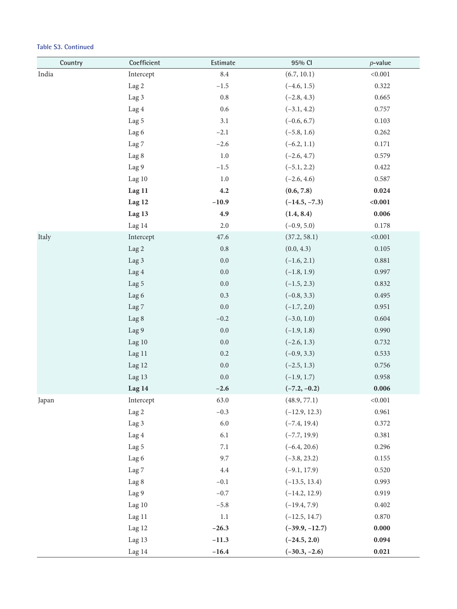| Country | Coefficient      | Estimate        | 95% CI           | $p$ -value |
|---------|------------------|-----------------|------------------|------------|
| India   | Intercept        | $\!\!\!\!\!8.4$ | (6.7, 10.1)      | < 0.001    |
|         | Lag 2            | $-1.5$          | $(-4.6, 1.5)$    | 0.322      |
|         | Lag 3            | $0.8\,$         | $(-2.8, 4.3)$    | 0.665      |
|         | Lag 4            | $0.6\,$         | $(-3.1, 4.2)$    | 0.757      |
|         | Lag 5            | $3.1\,$         | $(-0.6, 6.7)$    | 0.103      |
|         | Lag 6            | $-2.1$          | $(-5.8, 1.6)$    | 0.262      |
|         | Lag <sub>7</sub> | $-2.6$          | $(-6.2, 1.1)$    | 0.171      |
|         | Lag 8            | $1.0\,$         | $(-2.6, 4.7)$    | 0.579      |
|         | Lag 9            | $-1.5$          | $(-5.1, 2.2)$    | 0.422      |
|         | Lag 10           | $1.0\,$         | $(-2.6, 4.6)$    | 0.587      |
|         | Lag 11           | 4.2             | (0.6, 7.8)       | 0.024      |
|         | Lag 12           | $-10.9$         | $(-14.5, -7.3)$  | < 0.001    |
|         | Lag 13           | 4.9             | (1.4, 8.4)       | 0.006      |
|         | Lag 14           | $2.0\,$         | $(-0.9, 5.0)$    | 0.178      |
| Italy   | Intercept        | 47.6            | (37.2, 58.1)     | < 0.001    |
|         | Lag 2            | $\rm 0.8$       | (0.0, 4.3)       | 0.105      |
|         | Lag 3            | $0.0\,$         | $(-1.6, 2.1)$    | 0.881      |
|         | Lag 4            | $0.0\,$         | $(-1.8, 1.9)$    | 0.997      |
|         | Lag 5            | $0.0\,$         | $(-1.5, 2.3)$    | 0.832      |
|         | Lag 6            | $0.3\,$         | $(-0.8, 3.3)$    | 0.495      |
|         | Lag <sub>7</sub> | $0.0\,$         | $(-1.7, 2.0)$    | 0.951      |
|         | Lag 8            | $-0.2$          | $(-3.0, 1.0)$    | 0.604      |
|         | Lag 9            | $0.0\,$         | $(-1.9, 1.8)$    | 0.990      |
|         | Lag 10           | $0.0\,$         | $(-2.6, 1.3)$    | 0.732      |
|         | Lag 11           | $0.2\,$         | $(-0.9, 3.3)$    | 0.533      |
|         | Lag 12           | $0.0\,$         | $(-2.5, 1.3)$    | 0.756      |
|         | Lag 13           | 0.0             | $(-1.9, 1.7)$    | 0.958      |
|         | Lag 14           | $-2.6$          | $(-7.2, -0.2)$   | 0.006      |
| Japan   | Intercept        | 63.0            | (48.9, 77.1)     | < 0.001    |
|         | Lag 2            | $-0.3$          | $(-12.9, 12.3)$  | 0.961      |
|         | Lag 3            | $6.0\,$         | $(-7.4, 19.4)$   | 0.372      |
|         | Lag 4            | 6.1             | $(-7.7, 19.9)$   | 0.381      |
|         | Lag 5            | $7.1\,$         | $(-6.4, 20.6)$   | 0.296      |
|         | Lag 6            | 9.7             | $(-3.8, 23.2)$   | 0.155      |
|         | Lag <sub>7</sub> | 4.4             | $(-9.1, 17.9)$   | 0.520      |
|         | Lag 8            | $-0.1$          | $(-13.5, 13.4)$  | 0.993      |
|         | Lag 9            | $-0.7$          | $(-14.2, 12.9)$  | 0.919      |
|         | Lag 10           | $-5.8$          | $(-19.4, 7.9)$   | 0.402      |
|         | Lag 11           | $1.1\,$         | $(-12.5, 14.7)$  | 0.870      |
|         | Lag 12           | $-26.3$         | $(-39.9, -12.7)$ | 0.000      |
|         | Lag 13           | $-11.3$         | $(-24.5, 2.0)$   | 0.094      |
|         | Lag 14           | $-16.4$         | $(-30.3, -2.6)$  | 0.021      |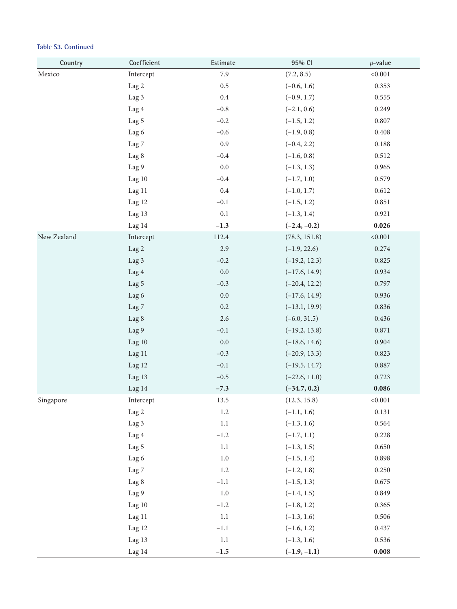| Country     | Coefficient      | Estimate | 95% CI          | $p$ -value |
|-------------|------------------|----------|-----------------|------------|
| Mexico      | Intercept        | 7.9      | (7.2, 8.5)      | < 0.001    |
|             | Lag 2            | 0.5      | $(-0.6, 1.6)$   | 0.353      |
|             | Lag 3            | $0.4\,$  | $(-0.9, 1.7)$   | 0.555      |
|             | Lag 4            | $-0.8$   | $(-2.1, 0.6)$   | 0.249      |
|             | Lag 5            | $-0.2$   | $(-1.5, 1.2)$   | 0.807      |
|             | Lag 6            | $-0.6$   | $(-1.9, 0.8)$   | 0.408      |
|             | Lag <sub>7</sub> | 0.9      | $(-0.4, 2.2)$   | 0.188      |
|             | Lag 8            | $-0.4$   | $(-1.6, 0.8)$   | 0.512      |
|             | Lag 9            | $0.0\,$  | $(-1.3, 1.3)$   | 0.965      |
|             | Lag 10           | $-0.4$   | $(-1.7, 1.0)$   | 0.579      |
|             | Lag 11           | $0.4\,$  | $(-1.0, 1.7)$   | 0.612      |
|             | Lag 12           | $-0.1$   | $(-1.5, 1.2)$   | 0.851      |
|             | Lag 13           | 0.1      | $(-1.3, 1.4)$   | 0.921      |
|             | Lag 14           | $-1.3$   | $(-2.4, -0.2)$  | 0.026      |
| New Zealand | Intercept        | 112.4    | (78.3, 151.8)   | < 0.001    |
|             | Lag 2            | 2.9      | $(-1.9, 22.6)$  | 0.274      |
|             | Lag 3            | $-0.2$   | $(-19.2, 12.3)$ | 0.825      |
|             | Lag 4            | $0.0\,$  | $(-17.6, 14.9)$ | 0.934      |
|             | Lag 5            | $-0.3$   | $(-20.4, 12.2)$ | 0.797      |
|             | Lag 6            | $0.0\,$  | $(-17.6, 14.9)$ | 0.936      |
|             | Lag <sub>7</sub> | 0.2      | $(-13.1, 19.9)$ | 0.836      |
|             | Lag 8            | $2.6\,$  | $(-6.0, 31.5)$  | 0.436      |
|             | Lag 9            | $-0.1$   | $(-19.2, 13.8)$ | 0.871      |
|             | Lag 10           | $0.0\,$  | $(-18.6, 14.6)$ | 0.904      |
|             | Lag 11           | $-0.3$   | $(-20.9, 13.3)$ | 0.823      |
|             | Lag 12           | $-0.1$   | $(-19.5, 14.7)$ | 0.887      |
|             | Lag 13           | $-0.5$   | $(-22.6, 11.0)$ | 0.723      |
|             | Lag 14           | $-7.3$   | $(-34.7, 0.2)$  | 0.086      |
| Singapore   | Intercept        | 13.5     | (12.3, 15.8)    | < 0.001    |
|             | Lag 2            | $1.2\,$  | $(-1.1, 1.6)$   | 0.131      |
|             | Lag 3            | $1.1\,$  | $(-1.3, 1.6)$   | 0.564      |
|             | Lag 4            | $-1.2$   | $(-1.7, 1.1)$   | 0.228      |
|             | Lag 5            | $1.1\,$  | $(-1.3, 1.5)$   | 0.650      |
|             | Lag 6            | $1.0\,$  | $(-1.5, 1.4)$   | 0.898      |
|             | Lag 7            | 1.2      | $(-1.2, 1.8)$   | 0.250      |
|             | Lag 8            | $-1.1$   | $(-1.5, 1.3)$   | 0.675      |
|             | Lag 9            | 1.0      | $(-1.4, 1.5)$   | 0.849      |
|             | Lag 10           | $-1.2$   | $(-1.8, 1.2)$   | 0.365      |
|             | Lag 11           | $1.1\,$  | $(-1.3, 1.6)$   | 0.506      |
|             | Lag 12           | $-1.1$   | $(-1.6, 1.2)$   | 0.437      |
|             | Lag 13           | $1.1\,$  | $(-1.3, 1.6)$   | 0.536      |
|             | Lag 14           | $-1.5$   | $(-1.9, -1.1)$  | 0.008      |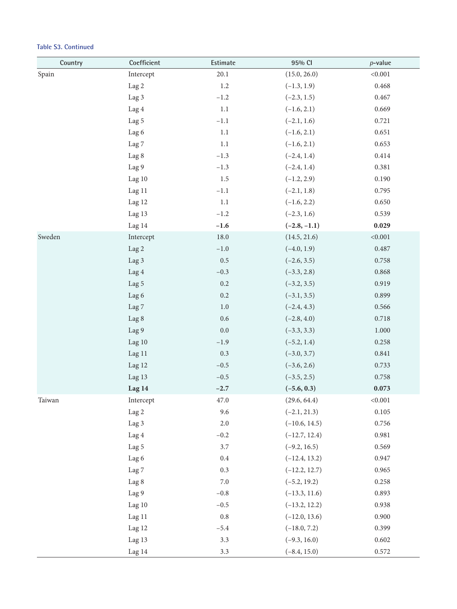| Country | Coefficient      | Estimate | 95% CI          | $p$ -value |
|---------|------------------|----------|-----------------|------------|
| Spain   | Intercept        | 20.1     | (15.0, 26.0)    | < 0.001    |
|         | Lag 2            | 1.2      | $(-1.3, 1.9)$   | 0.468      |
|         | Lag 3            | $-1.2$   | $(-2.3, 1.5)$   | 0.467      |
|         | Lag 4            | $1.1\,$  | $(-1.6, 2.1)$   | 0.669      |
|         | Lag 5            | $-1.1$   | $(-2.1, 1.6)$   | 0.721      |
|         | Lag 6            | 1.1      | $(-1.6, 2.1)$   | 0.651      |
|         | Lag <sub>7</sub> | 1.1      | $(-1.6, 2.1)$   | 0.653      |
|         | Lag 8            | $-1.3$   | $(-2.4, 1.4)$   | 0.414      |
|         | Lag 9            | $-1.3$   | $(-2.4, 1.4)$   | 0.381      |
|         | Lag 10           | 1.5      | $(-1.2, 2.9)$   | 0.190      |
|         | Lag 11           | $-1.1$   | $(-2.1, 1.8)$   | 0.795      |
|         | Lag 12           | $1.1\,$  | $(-1.6, 2.2)$   | 0.650      |
|         | Lag 13           | $-1.2$   | $(-2.3, 1.6)$   | 0.539      |
|         | Lag 14           | $-1.6$   | $(-2.8, -1.1)$  | 0.029      |
| Sweden  | Intercept        | 18.0     | (14.5, 21.6)    | < 0.001    |
|         | Lag 2            | $-1.0$   | $(-4.0, 1.9)$   | 0.487      |
|         | Lag 3            | 0.5      | $(-2.6, 3.5)$   | 0.758      |
|         | Lag 4            | $-0.3$   | $(-3.3, 2.8)$   | 0.868      |
|         | Lag 5            | $0.2\,$  | $(-3.2, 3.5)$   | 0.919      |
|         | Lag 6            | $0.2\,$  | $(-3.1, 3.5)$   | 0.899      |
|         | Lag <sub>7</sub> | $1.0\,$  | $(-2.4, 4.3)$   | 0.566      |
|         | Lag 8            | $0.6\,$  | $(-2.8, 4.0)$   | 0.718      |
|         | Lag 9            | $0.0\,$  | $(-3.3, 3.3)$   | 1.000      |
|         | Lag 10           | $-1.9$   | $(-5.2, 1.4)$   | 0.258      |
|         | Lag 11           | 0.3      | $(-3.0, 3.7)$   | 0.841      |
|         | Lag 12           | $-0.5$   | $(-3.6, 2.6)$   | 0.733      |
|         | Lag 13           | $-0.5$   | $(-3.5, 2.5)$   | 0.758      |
|         | Lag 14           | $-2.7$   | $(-5.6, 0.3)$   | 0.073      |
| Taiwan  | Intercept        | 47.0     | (29.6, 64.4)    | < 0.001    |
|         | Lag 2            | 9.6      | $(-2.1, 21.3)$  | 0.105      |
|         | Lag 3            | $2.0\,$  | $(-10.6, 14.5)$ | 0.756      |
|         | Lag 4            | $-0.2$   | $(-12.7, 12.4)$ | 0.981      |
|         | Lag 5            | $3.7\,$  | $(-9.2, 16.5)$  | 0.569      |
|         | Lag 6            | $0.4\,$  | $(-12.4, 13.2)$ | 0.947      |
|         | Lag <sub>7</sub> | $0.3\,$  | $(-12.2, 12.7)$ | 0.965      |
|         | Lag 8            | $7.0\,$  | $(-5.2, 19.2)$  | 0.258      |
|         | Lag 9            | $-0.8$   | $(-13.3, 11.6)$ | 0.893      |
|         | Lag 10           | $-0.5$   | $(-13.2, 12.2)$ | 0.938      |
|         | Lag 11           | $0.8\,$  | $(-12.0, 13.6)$ | 0.900      |
|         | Lag 12           | $-5.4$   | $(-18.0, 7.2)$  | 0.399      |
|         | Lag 13           | 3.3      | $(-9.3, 16.0)$  | 0.602      |
|         | Lag 14           | $3.3\,$  | $(-8.4, 15.0)$  | 0.572      |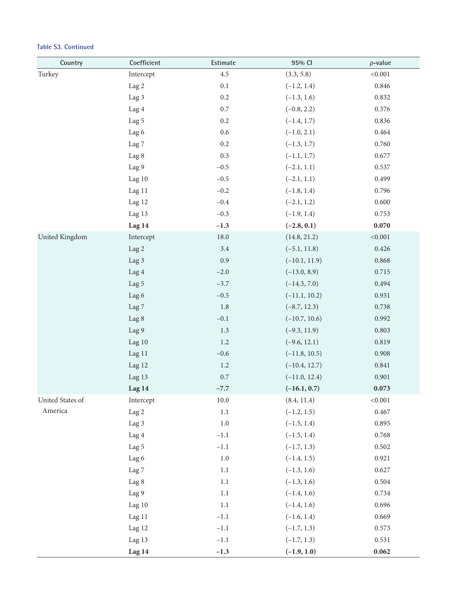| Country          | Coefficient      | Estimate | 95% CI          | $p$ -value |
|------------------|------------------|----------|-----------------|------------|
| Turkey           | Intercept        | 4.5      | (3.3, 5.8)      | < 0.001    |
|                  | Lag 2            | 0.1      | $(-1.2, 1.4)$   | 0.846      |
|                  | Lag 3            | $0.2\,$  | $(-1.3, 1.6)$   | 0.832      |
|                  | Lag 4            | $0.7\,$  | $(-0.8, 2.2)$   | 0.376      |
|                  | Lag 5            | $0.2\,$  | $(-1.4, 1.7)$   | 0.836      |
|                  | Lag 6            | $0.6\,$  | $(-1.0, 2.1)$   | 0.464      |
|                  | Lag <sub>7</sub> | $0.2\,$  | $(-1.3, 1.7)$   | 0.760      |
|                  | Lag 8            | 0.3      | $(-1.1, 1.7)$   | 0.677      |
|                  | Lag 9            | $-0.5$   | $(-2.1, 1.1)$   | 0.537      |
|                  | Lag 10           | $-0.5$   | $(-2.1, 1.1)$   | 0.499      |
|                  | Lag 11           | $-0.2$   | $(-1.8, 1.4)$   | 0.796      |
|                  | Lag 12           | $-0.4$   | $(-2.1, 1.2)$   | 0.600      |
|                  | Lag 13           | $-0.3$   | $(-1.9, 1.4)$   | 0.753      |
|                  | Lag 14           | $-1.3$   | $(-2.8, 0.1)$   | 0.070      |
| United Kingdom   | Intercept        | 18.0     | (14.8, 21.2)    | < 0.001    |
|                  | Lag 2            | $3.4\,$  | $(-5.1, 11.8)$  | 0.426      |
|                  | Lag 3            | 0.9      | $(-10.1, 11.9)$ | 0.868      |
|                  | Lag 4            | $-2.0$   | $(-13.0, 8.9)$  | 0.715      |
|                  | Lag 5            | $-3.7$   | $(-14.3, 7.0)$  | 0.494      |
|                  | Lag 6            | $-0.5$   | $(-11.1, 10.2)$ | 0.931      |
|                  | Lag <sub>7</sub> | 1.8      | $(-8.7, 12.3)$  | 0.738      |
|                  | Lag 8            | $-0.1$   | $(-10.7, 10.6)$ | 0.992      |
|                  | Lag 9            | 1.3      | $(-9.3, 11.9)$  | 0.803      |
|                  | Lag 10           | 1.2      | $(-9.6, 12.1)$  | 0.819      |
|                  | Lag 11           | $-0.6$   | $(-11.8, 10.5)$ | 0.908      |
|                  | Lag 12           | $1.2\,$  | $(-10.4, 12.7)$ | 0.841      |
|                  | Lag 13           | $0.7\,$  | $(-11.0, 12.4)$ | 0.901      |
|                  | Lag 14           | $-7.7$   | $(-16.1, 0.7)$  | 0.073      |
| United States of | Intercept        | 10.0     | (8.4, 11.4)     | < 0.001    |
| America          | Lag 2            | 1.1      | $(-1.2, 1.5)$   | 0.467      |
|                  | Lag 3            | $1.0\,$  | $(-1.5, 1.4)$   | 0.895      |
|                  | Lag 4            | $-1.1$   | $(-1.5, 1.4)$   | 0.768      |
|                  | Lag 5            | $-1.1\,$ | $(-1.7, 1.3)$   | 0.502      |
|                  | Lag 6            | $1.0\,$  | $(-1.4, 1.5)$   | 0.921      |
|                  | Lag <sub>7</sub> | $1.1\,$  | $(-1.3, 1.6)$   | 0.627      |
|                  | Lag 8            | $1.1\,$  | $(-1.3, 1.6)$   | 0.504      |
|                  | Lag 9            | $1.1\,$  | $(-1.4, 1.6)$   | 0.734      |
|                  | Lag 10           | 1.1      | $(-1.4, 1.6)$   | 0.696      |
|                  | Lag 11           | $-1.1$   | $(-1.6, 1.4)$   | 0.669      |
|                  | Lag 12           | $-1.1$   | $(-1.7, 1.3)$   | 0.573      |
|                  | Lag 13           | $-1.1$   | $(-1.7, 1.3)$   | 0.531      |
|                  | Lag 14           | $-1.3$   | $(-1.9, 1.0)$   | 0.062      |